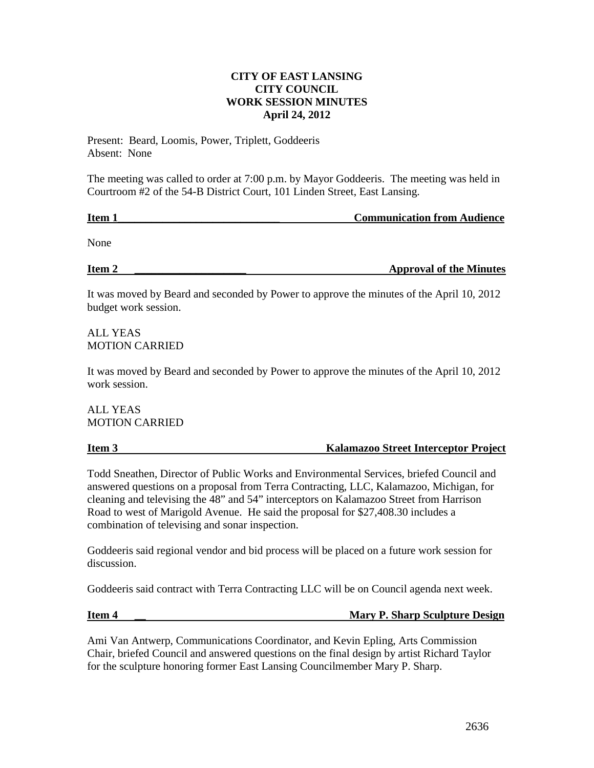# **CITY OF EAST LANSING CITY COUNCIL WORK SESSION MINUTES April 24, 2012**

Present: Beard, Loomis, Power, Triplett, Goddeeris Absent: None

The meeting was called to order at 7:00 p.m. by Mayor Goddeeris. The meeting was held in Courtroom #2 of the 54-B District Court, 101 Linden Street, East Lansing.

**Item 1 In the latter of the communication from Audience Communication from Audience** 

None

**Item 2 \_\_\_\_\_\_\_\_\_\_\_\_\_\_\_\_\_\_\_\_ Approval of the Minutes**

It was moved by Beard and seconded by Power to approve the minutes of the April 10, 2012 budget work session.

ALL YEAS MOTION CARRIED

It was moved by Beard and seconded by Power to approve the minutes of the April 10, 2012 work session.

ALL YEAS MOTION CARRIED

**Item 3 Kalamazoo Street Interceptor Project**

Todd Sneathen, Director of Public Works and Environmental Services, briefed Council and answered questions on a proposal from Terra Contracting, LLC, Kalamazoo, Michigan, for cleaning and televising the 48" and 54" interceptors on Kalamazoo Street from Harrison Road to west of Marigold Avenue. He said the proposal for \$27,408.30 includes a combination of televising and sonar inspection.

Goddeeris said regional vendor and bid process will be placed on a future work session for discussion.

Goddeeris said contract with Terra Contracting LLC will be on Council agenda next week.

# **Item 4** \_\_ Mary P. Sharp Sculpture Design

Ami Van Antwerp, Communications Coordinator, and Kevin Epling, Arts Commission Chair, briefed Council and answered questions on the final design by artist Richard Taylor for the sculpture honoring former East Lansing Councilmember Mary P. Sharp.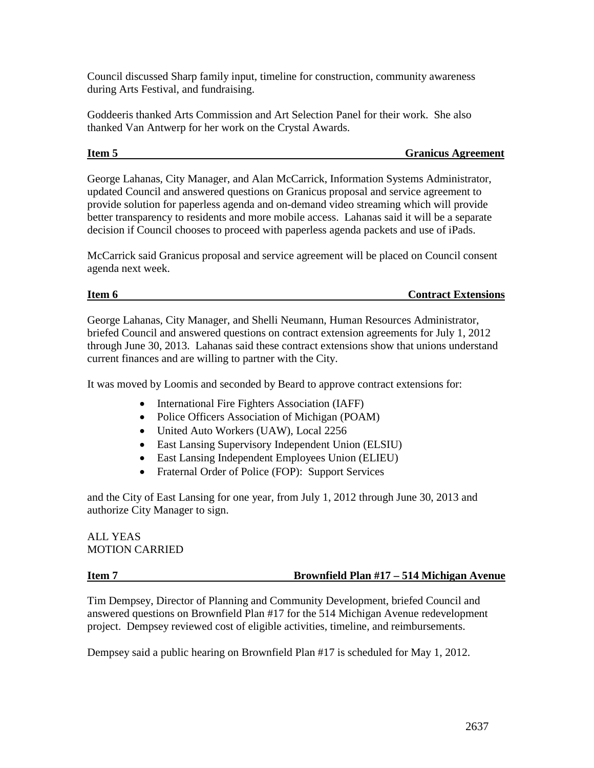Council discussed Sharp family input, timeline for construction, community awareness during Arts Festival, and fundraising.

Goddeeris thanked Arts Commission and Art Selection Panel for their work. She also thanked Van Antwerp for her work on the Crystal Awards.

### **Item 5** Granicus Agreement

George Lahanas, City Manager, and Alan McCarrick, Information Systems Administrator, updated Council and answered questions on Granicus proposal and service agreement to provide solution for paperless agenda and on-demand video streaming which will provide better transparency to residents and more mobile access. Lahanas said it will be a separate decision if Council chooses to proceed with paperless agenda packets and use of iPads.

McCarrick said Granicus proposal and service agreement will be placed on Council consent agenda next week.

### **Item 6** Contract Extensions

George Lahanas, City Manager, and Shelli Neumann, Human Resources Administrator, briefed Council and answered questions on contract extension agreements for July 1, 2012 through June 30, 2013. Lahanas said these contract extensions show that unions understand current finances and are willing to partner with the City.

It was moved by Loomis and seconded by Beard to approve contract extensions for:

- International Fire Fighters Association (IAFF)
- Police Officers Association of Michigan (POAM)
- United Auto Workers (UAW), Local 2256
- East Lansing Supervisory Independent Union (ELSIU)
- East Lansing Independent Employees Union (ELIEU)
- Fraternal Order of Police (FOP): Support Services

and the City of East Lansing for one year, from July 1, 2012 through June 30, 2013 and authorize City Manager to sign.

## ALL YEAS MOTION CARRIED

### **Item 7 Brownfield Plan #17 – 514 Michigan Avenue**

Tim Dempsey, Director of Planning and Community Development, briefed Council and answered questions on Brownfield Plan #17 for the 514 Michigan Avenue redevelopment project. Dempsey reviewed cost of eligible activities, timeline, and reimbursements.

Dempsey said a public hearing on Brownfield Plan #17 is scheduled for May 1, 2012.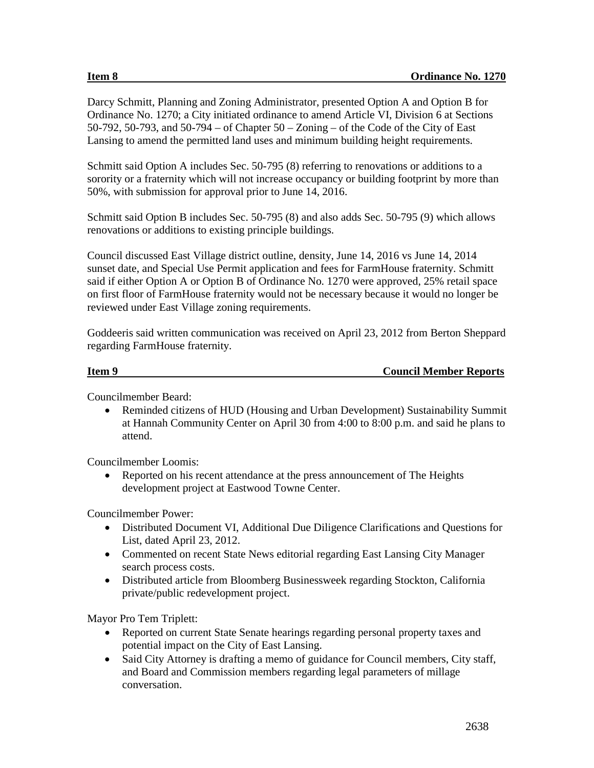Darcy Schmitt, Planning and Zoning Administrator, presented Option A and Option B for Ordinance No. 1270; a City initiated ordinance to amend Article VI, Division 6 at Sections 50-792, 50-793, and 50-794 – of Chapter 50 – Zoning – of the Code of the City of East Lansing to amend the permitted land uses and minimum building height requirements.

Schmitt said Option A includes Sec. 50-795 (8) referring to renovations or additions to a sorority or a fraternity which will not increase occupancy or building footprint by more than 50%, with submission for approval prior to June 14, 2016.

Schmitt said Option B includes Sec. 50-795 (8) and also adds Sec. 50-795 (9) which allows renovations or additions to existing principle buildings.

Council discussed East Village district outline, density, June 14, 2016 vs June 14, 2014 sunset date, and Special Use Permit application and fees for FarmHouse fraternity. Schmitt said if either Option A or Option B of Ordinance No. 1270 were approved, 25% retail space on first floor of FarmHouse fraternity would not be necessary because it would no longer be reviewed under East Village zoning requirements.

Goddeeris said written communication was received on April 23, 2012 from Berton Sheppard regarding FarmHouse fraternity.

## **Item 9** Council Member Reports

Councilmember Beard:

• Reminded citizens of HUD (Housing and Urban Development) Sustainability Summit at Hannah Community Center on April 30 from 4:00 to 8:00 p.m. and said he plans to attend.

Councilmember Loomis:

• Reported on his recent attendance at the press announcement of The Heights development project at Eastwood Towne Center.

Councilmember Power:

- Distributed Document VI, Additional Due Diligence Clarifications and Questions for List, dated April 23, 2012.
- Commented on recent State News editorial regarding East Lansing City Manager search process costs.
- Distributed article from Bloomberg Businessweek regarding Stockton, California private/public redevelopment project.

Mayor Pro Tem Triplett:

- Reported on current State Senate hearings regarding personal property taxes and potential impact on the City of East Lansing.
- Said City Attorney is drafting a memo of guidance for Council members, City staff, and Board and Commission members regarding legal parameters of millage conversation.